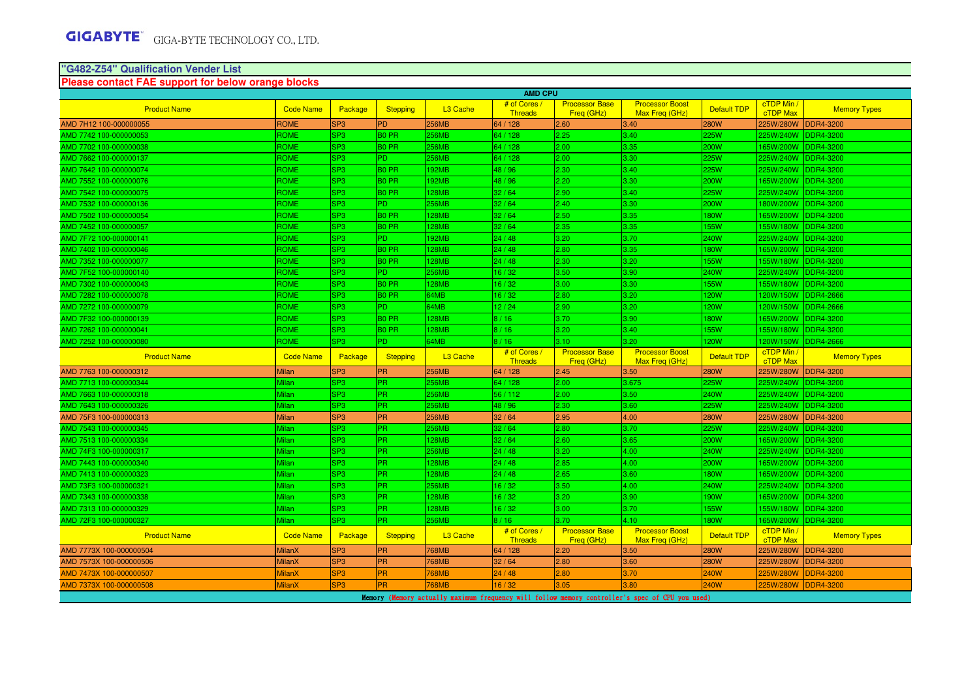#### **"G482-Z54" Qualification Vender ListPlease contact FAE support for below orange blocks**

| <b>AMD CPU</b>          |                  |                 |                   |                      |                                |                                     |                                          |                    |                               |                     |  |
|-------------------------|------------------|-----------------|-------------------|----------------------|--------------------------------|-------------------------------------|------------------------------------------|--------------------|-------------------------------|---------------------|--|
| <b>Product Name</b>     | <b>Code Name</b> | Package         | <b>Stepping</b>   | L <sub>3</sub> Cache | # of Cores /                   | <b>Processor Base</b>               | <b>Processor Boost</b>                   | <b>Default TDP</b> | cTDP Min /                    | <b>Memory Types</b> |  |
| AMD 7H12 100-000000055  | <b>ROME</b>      | SP <sub>3</sub> | <b>PD</b>         | 256MB                | <b>Threads</b><br>64 / 128     | Freq (GHz)<br>2.60                  | Max Freq (GHz)<br>3.40                   | <b>280W</b>        | <b>cTDP Max</b><br>225W/280W  | <b>DDR4-3200</b>    |  |
| AMD 7742 100-000000053  | ROME             | SP <sub>3</sub> | <b>BO PR</b>      | 256MB                | 64 / 128                       | 2.25                                | 3.40                                     | 225W               | 225W/240W                     | <b>DDR4-3200</b>    |  |
| AMD 7702 100-000000038  | ROME             | SP <sub>3</sub> | B <sub>0</sub> PR | <b>256MB</b>         | 64 / 128                       | 2.00                                | 3.35                                     | 200W               | 165W/200W                     | DDR4-3200           |  |
| AMD 7662 100-000000137  | ROME             | SP <sub>3</sub> | P <sub>D</sub>    | <b>256MB</b>         | 64 / 128                       | 2.00                                | 3.30                                     | 225W               | 225W/240W                     | <b>DDR4-3200</b>    |  |
| AMD 7642 100-000000074  | ROME             | SP <sub>3</sub> | <b>BO PR</b>      | 192MB                | 48 / 96                        | 2.30                                | 3.40                                     | 225W               | 225W/240W                     | <b>DDR4-3200</b>    |  |
| AMD 7552 100-000000076  | ROME             | SP <sub>3</sub> | <b>BO PR</b>      | <b>192MB</b>         | 48 / 96                        | 2.20                                | 3.30                                     | 200W               | 165W/200W                     | <b>DDR4-3200</b>    |  |
| AMD 7542 100-000000075  | ROME             | SP <sub>3</sub> | B <sub>0</sub> PR | <b>128MB</b>         | 32/64                          | 2.90                                | 3.40                                     | 225W               | 225W/240W                     | <b>DDR4-3200</b>    |  |
| AMD 7532 100-000000136  | ROME             | SP <sub>3</sub> | P <sub>D</sub>    | 256MB                | 32/64                          | 2.40                                | 3.30                                     | 200W               | 180W/200W                     | <b>DDR4-3200</b>    |  |
| AMD 7502 100-000000054  | <b>ROME</b>      | SP <sub>3</sub> | B <sub>0</sub> PR | <b>128MB</b>         | 32/64                          | 2.50                                | 3.35                                     | <b>180W</b>        | 165W/200W                     | <b>DDR4-3200</b>    |  |
| AMD 7452 100-000000057  | ROME             | SP <sub>3</sub> | B <sub>0</sub> PR | 128MB                | 32/64                          | 2.35                                | 3.35                                     | <b>155W</b>        | 155W/180W                     | <b>DDR4-3200</b>    |  |
| AMD 7F72 100-000000141  | ROME             | SP <sub>3</sub> | P <sub>D</sub>    | <b>192MB</b>         | 24 / 48                        | 3.20                                | 3.70                                     | <b>240W</b>        | 225W/240W                     | <b>DDR4-3200</b>    |  |
| AMD 7402 100-000000046  | <b>ROME</b>      | SP <sub>3</sub> | B <sub>0</sub> PR | <b>128MB</b>         | 24/48                          | 2.80                                | 3.35                                     | <b>180W</b>        | 165W/200W                     | <b>DDR4-3200</b>    |  |
| AMD 7352 100-000000077  | ROME             | SP <sub>3</sub> | B <sub>0</sub> PR | 128MB                | 24/48                          | 2.30                                | 3.20                                     | 155W               | 155W/180W                     | DDR4-3200           |  |
| AMD 7F52 100-000000140  | ROME             | SP <sub>3</sub> | PD.               | 256MB                | 16/32                          | 3.50                                | 3.90                                     | 240W               | 225W/240W                     | <b>DDR4-3200</b>    |  |
| AMD 7302 100-000000043  | <b>ROME</b>      | SP <sub>3</sub> | B <sub>0</sub> PR | <b>128MB</b>         | 16/32                          | 3.00                                | 3.30                                     | <b>155W</b>        | 155W/180W                     | <b>DDR4-3200</b>    |  |
| AMD 7282 100-000000078  | ROME             | SP <sub>3</sub> | B <sub>0</sub> PR | 64MB                 | 16/32                          | 2.80                                | 3.20                                     | 120W               | 120W/150W                     | <b>DDR4-2666</b>    |  |
| AMD 7272 100-000000079  | ROME             | SP <sub>3</sub> | P <sub>D</sub>    | 64MB                 | 12/24                          | 2.90                                | 3.20                                     | 120W               | 120W/150W                     | <b>DDR4-2666</b>    |  |
| AMD 7F32 100-000000139  | <b>ROME</b>      | SP <sub>3</sub> | B <sub>0</sub> PR | <b>128MB</b>         | 8/16                           | 3.70                                | 3.90                                     | <b>180W</b>        | 165W/200W                     | <b>DDR4-3200</b>    |  |
| AMD 7262 100-000000041  | ROME             | SP <sub>3</sub> | B <sub>0</sub> PR | <b>28MB</b>          | 8/16                           | 3.20                                | 3.40                                     | <b>155W</b>        | 155W/180W                     | DDR4-3200           |  |
| AMD 7252 100-000000080  | ROME             | SP <sub>3</sub> | P <sub>D</sub>    | 64MB                 | 8/16                           | 3.10                                | 3.20 <sub>1</sub>                        | 120W               | 120W/150W                     | <b>DDR4-2666</b>    |  |
| <b>Product Name</b>     | <b>Code Name</b> | Package         | Stepping          | L <sub>3</sub> Cache | # of Cores /<br><b>Threads</b> | <b>Processor Base</b><br>Freq (GHz) | <b>Processor Boost</b><br>Max Freq (GHz) | <b>Default TDP</b> | cTDP Min /<br>cTDP Max        | <b>Memory Types</b> |  |
| AMD 7763 100-000000312  | <b>Milan</b>     | SP <sub>3</sub> | <b>PR</b>         | 256MB                | 64 / 128                       | 2.45                                | 3.50                                     | <b>280W</b>        | 225W/280W                     | <b>DDR4-3200</b>    |  |
| AMD 7713 100-000000344  | <b>Milan</b>     | SP <sub>3</sub> | PR.               | 256MB                | 64 / 128                       | 2.00                                | 3.675                                    | 225W               | 225W/240W                     | DDR4-3200           |  |
| AMD 7663 100-000000318  | Milan            | SP <sub>3</sub> | <b>PR</b>         | 256MB                | 56 / 112                       | 2.00                                | 3.50                                     | <b>240W</b>        | 225W/240W                     | <b>DDR4-3200</b>    |  |
| AMD 7643 100-000000326  | Milan            | SP <sub>3</sub> | <b>PR</b>         | 256MB                | 48 / 96                        | 2.30                                | 3.60                                     | 225W               | 225W/240W                     | DDR4-3200           |  |
| AMD 75F3 100-000000313  | <b>Milan</b>     | SP <sub>3</sub> | <b>PR</b>         | 256MB                | 32/64                          | 2.95                                | 4.00                                     | <b>280W</b>        | 225W/280W                     | <b>DDR4-3200</b>    |  |
| AMD 7543 100-000000345  | Milan            | SP <sub>3</sub> | <b>PR</b>         | 256MB                | 32/64                          | 2.80                                | 3.70                                     | 225W               | 225W/240W                     | DDR4-3200           |  |
| AMD 7513 100-000000334  | Milan            | SP <sub>3</sub> | PR                | 128MB                | 32/64                          | 2.60                                | 3.65                                     | 200W               | 165W/200W                     | <b>DDR4-3200</b>    |  |
| AMD 74F3 100-000000317  | Milan            | SP <sub>3</sub> | PR.               | 256MB                | 24/48                          | 3.20                                | 4.00                                     | 240W               | 225W/240W                     | <b>DDR4-3200</b>    |  |
| AMD 7443 100-000000340  | Milan            | SP <sub>3</sub> | <b>PR</b>         | 128MB                | 24/48                          | 2.85                                | 4.00                                     | 200W               | 165W/200W                     | <b>DDR4-3200</b>    |  |
| AMD 7413 100-000000323  | Milan            | SP <sub>3</sub> | PR.               | <b>28MB</b>          | 24/48                          | 2.65                                | 3.60                                     | 180W               | 65W/200W                      | DDR4-3200           |  |
| AMD 73F3 100-000000321  | Milan            | SP <sub>3</sub> | PR.               | 256MB                | 16/32                          | 3.50                                | 4.00                                     | 240W               | 225W/240W                     | <b>DDR4-3200</b>    |  |
| AMD 7343 100-000000338  | Milan            | SP <sub>3</sub> | <b>IPR</b>        | 128MB                | 16/32                          | 3.20                                | 3.90                                     | <b>190W</b>        | 165W/200W                     | <b>DDR4-3200</b>    |  |
| AMD 7313 100-000000329  | Milan            | SP <sub>3</sub> | <b>PR</b>         | 128MB                | 16/32                          | 3.00                                | 3.70                                     | 155W               | 155W/180W                     | <b>DDR4-3200</b>    |  |
| AMD 72F3 100-000000327  | Milan            | SP <sub>3</sub> | <b>PR</b>         | <b>256MB</b>         | 8/16                           | 3.70                                | 4.10                                     | 180W               | 165W/200W                     | <b>DDR4-3200</b>    |  |
| <b>Product Name</b>     | <b>Code Name</b> | Package         | Stepping          | L <sub>3</sub> Cache | # of Cores /<br><b>Threads</b> | <b>Processor Base</b><br>Freq (GHz) | <b>Processor Boost</b><br>Max Freg (GHz) | Default TDP        | cTDP Min /<br><b>cTDP Max</b> | <b>Memory Types</b> |  |
| AMD 7773X 100-000000504 | <b>MilanX</b>    | SP <sub>3</sub> | <b>PR</b>         | 768MB                | 64 / 128                       | 2.20                                | 3.50                                     | <b>280W</b>        | 225W/280W                     | <b>DDR4-3200</b>    |  |
|                         |                  |                 |                   |                      |                                |                                     |                                          |                    |                               |                     |  |
| AMD 7573X 100-000000506 | <b>MilanX</b>    | SP <sub>3</sub> | PR                | 768MB                | 32/64                          | 2.80                                | 3.60                                     | <b>280W</b>        | 225W/280W                     | <b>DDR4-3200</b>    |  |
| AMD 7473X 100-000000507 | <b>MilanX</b>    | SP <sub>3</sub> | <b>PR</b>         | 68MB                 | 24/48                          | 2.80                                | 3.70                                     | 240W               | 225W/280W                     | DDR4-3200           |  |
| AMD 7373X 100-000000508 | <b>MilanX</b>    | SP <sub>3</sub> | <b>PR</b>         | <b>768MB</b>         | 16/32                          | 3.05                                | 3.80                                     | <b>240W</b>        | 225W/280W                     | <b>DDR4-3200</b>    |  |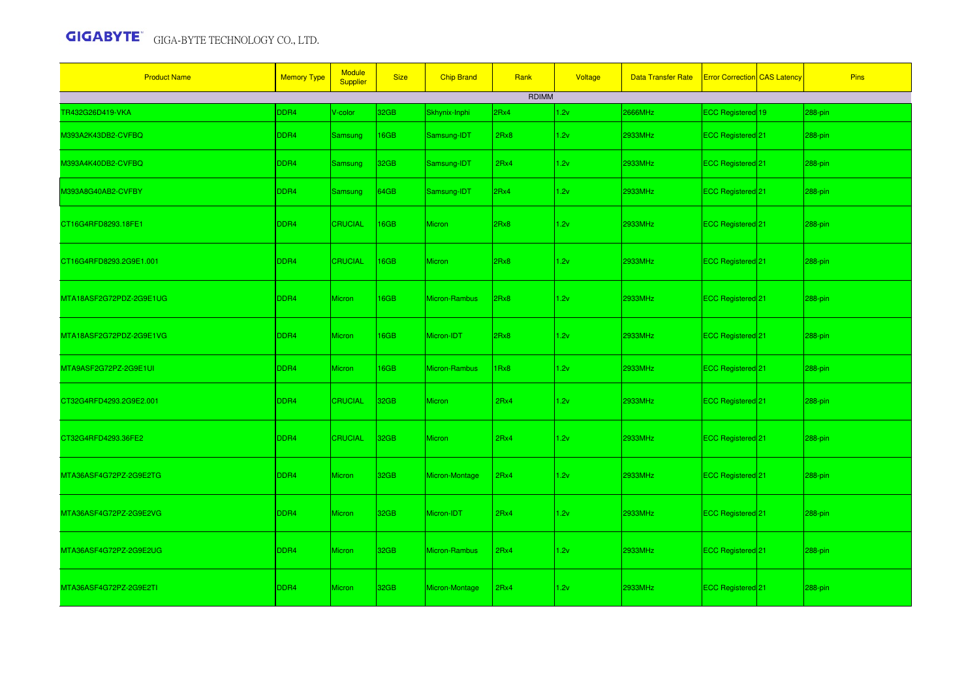| <b>Product Name</b>     | <b>Memory Type</b> | <b>Module</b><br>Supplier | <b>Size</b> | <b>Chip Brand</b> | Rank  | Voltage | <b>Data Transfer Rate</b> | <b>Error Correction CAS Latency</b> | <b>Pins</b> |
|-------------------------|--------------------|---------------------------|-------------|-------------------|-------|---------|---------------------------|-------------------------------------|-------------|
|                         |                    |                           |             |                   | RDIMM |         |                           |                                     |             |
| TR432G26D419-VKA        | DDR4               | V-color                   | 32GB        | Skhynix-Inphi     | 2Rx4  | 1.2v    | 2666MHz                   | ECC Registered 19                   | 288-pin     |
| M393A2K43DB2-CVFBQ      | DDR4               | <b>Samsung</b>            | 16GB        | Samsung-IDT       | 2Rx8  | 1.2v    | 2933MHz                   | ECC Registered 21                   | 288-pin     |
| M393A4K40DB2-CVFBQ      | DDR4               | <b>Samsung</b>            | 32GB        | Samsung-IDT       | 2Rx4  | 1.2v    | 2933MHz                   | ECC Registered 21                   | 288-pin     |
| M393A8G40AB2-CVFBY      | DDR4               | <b>Samsung</b>            | 64GB        | Samsung-IDT       | 2Rx4  | 1.2v    | 2933MHz                   | ECC Registered 21                   | 288-pin     |
| CT16G4RFD8293.18FE1     | DDR4               | <b>CRUCIAL</b>            | 16GB        | <b>Micron</b>     | 2Rx8  | 1.2v    | 2933MHz                   | ECC Registered <sup>21</sup>        | 288-pin     |
| CT16G4RFD8293.2G9E1.001 | DDR4               | <b>CRUCIAL</b>            | 16GB        | Micron            | 2Rx8  | 1.2v    | 2933MHz                   | ECC Registered 21                   | 288-pin     |
| MTA18ASF2G72PDZ-2G9E1UG | DDR4               | <b>Micron</b>             | 16GB        | Micron-Rambus     | 2Rx8  | 1.2v    | 2933MHz                   | ECC Registered 21                   | 288-pin     |
| MTA18ASF2G72PDZ-2G9E1VG | DDR4               | <b>Micron</b>             | 16GB        | Micron-IDT        | 2Rx8  | 1.2v    | 2933MHz                   | ECC Registered 21                   | 288-pin     |
| MTA9ASF2G72PZ-2G9E1UI   | DDR4               | <b>Micron</b>             | 16GB        | Micron-Rambus     | 1Rx8  | 1.2v    | 2933MHz                   | ECC Registered 21                   | 288-pin     |
| CT32G4RFD4293.2G9E2.001 | DDR4               | <b>CRUCIAL</b>            | 32GB        | <b>Micron</b>     | 2Rx4  | 1.2v    | 2933MHz                   | ECC Registered 21                   | 288-pin     |
| CT32G4RFD4293.36FE2     | DDR4               | <b>CRUCIAL</b>            | 32GB        | <b>Micron</b>     | 2Rx4  | 1.2v    | 2933MHz                   | ECC Registered 21                   | 288-pin     |
| MTA36ASF4G72PZ-2G9E2TG  | DDR <sub>4</sub>   | Micron                    | 32GB        | Micron-Montage    | 2Rx4  | 1.2v    | 2933MHz                   | ECC Registered <sup>21</sup>        | 288-pin     |
| MTA36ASF4G72PZ-2G9E2VG  | DDR4               | <b>Micron</b>             | 32GB        | Micron-IDT        | 2Rx4  | 1.2v    | 2933MHz                   | ECC Registered 21                   | 288-pin     |
| MTA36ASF4G72PZ-2G9E2UG  | DDR4               | <b>Micron</b>             | 32GB        | Micron-Rambus     | 2Rx4  | 1.2v    | 2933MHz                   | ECC Registered <sup>21</sup>        | 288-pin     |
| MTA36ASF4G72PZ-2G9E2TI  | DDR4               | Micron                    | 32GB        | Micron-Montage    | 2Rx4  | 1.2v    | 2933MHz                   | ECC Registered <sup>121</sup>       | 288-pin     |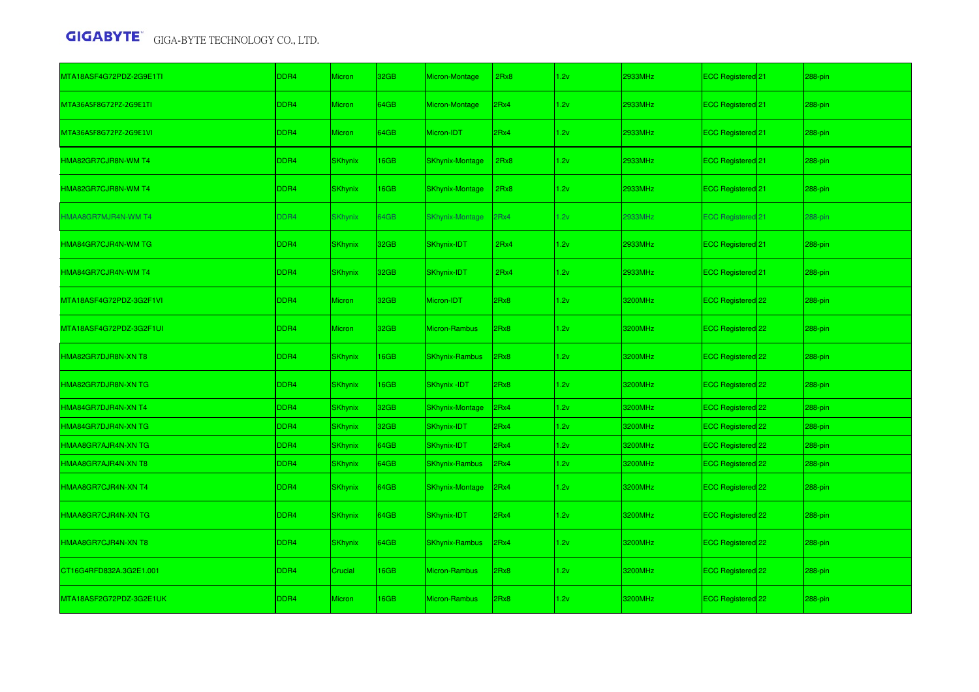| MTA18ASF4G72PDZ-2G9E1TI | DDR <sub>4</sub> | Micron         | 32GB        | Micron-Montage         | 2Rx8 | 1.2v | 2933MHz | ECC Registered 21            | 288-pin |
|-------------------------|------------------|----------------|-------------|------------------------|------|------|---------|------------------------------|---------|
| MTA36ASF8G72PZ-2G9E1TI  | DDR4             | Micron         | 64GB        | Micron-Montage         | 2Rx4 | 1.2v | 2933MHz | ECC Registered 21            | 288-pin |
| MTA36ASF8G72PZ-2G9E1VI  | DDR4             | Micron         | 64GB        | Micron-IDT             | 2Rx4 | 1.2v | 2933MHz | ECC Registered 21            | 288-pin |
| HMA82GR7CJR8N-WM T4     | DDR <sub>4</sub> | <b>SKhynix</b> | 16GB        | <b>SKhynix-Montage</b> | 2Rx8 | 1.2v | 2933MHz | ECC Registered <sup>21</sup> | 288-pin |
| HMA82GR7CJR8N-WM T4     | DDR4             | <b>SKhynix</b> | 16GB        | <b>SKhynix-Montage</b> | 2Rx8 | 1.2v | 2933MHz | ECC Registered 21            | 288-pin |
| IMAA8GR7MJR4N-WM T4     | DDR4             | <b>SKhynix</b> | 64GB        | <b>SKhynix-Montage</b> | 2Rx4 | 1.2v | 2933MHz | <b>ECC Registered 21</b>     | 288-pin |
| HMA84GR7CJR4N-WM TG     | DDR4             | <b>SKhynix</b> | 32GB        | SKhynix-IDT            | 2Rx4 | 1.2v | 2933MHz | ECC Registered 21            | 288-pin |
| HMA84GR7CJR4N-WM T4     | DDR4             | <b>SKhynix</b> | 32GB        | SKhynix-IDT            | 2Rx4 | 1.2v | 2933MHz | ECC Registered <sup>21</sup> | 288-pin |
| MTA18ASF4G72PDZ-3G2F1VI | DDR <sub>4</sub> | Micron         | 32GB        | Micron-IDT             | 2Rx8 | 1.2v | 3200MHz | ECC Registered 22            | 288-pin |
| MTA18ASF4G72PDZ-3G2F1UI | DDR4             | Micron         | 32GB        | Micron-Rambus          | 2Rx8 | 1.2v | 3200MHz | ECC Registered 22            | 288-pin |
| HMA82GR7DJR8N-XN T8     | DDR4             | <b>SKhynix</b> | <b>I6GB</b> | <b>SKhynix-Rambus</b>  | 2Rx8 | 1.2v | 3200MHz | ECC Registered 22            | 288-pin |
| HMA82GR7DJR8N-XN TG     | DDR4             | <b>SKhynix</b> | 16GB        | <b>SKhynix-IDT</b>     | 2Rx8 | 1.2v | 3200MHz | ECC Registered 22            | 288-pin |
| HMA84GR7DJR4N-XN T4     | DDR4             | <b>SKhynix</b> | 32GB        | <b>SKhynix-Montage</b> | 2Rx4 | 1.2v | 3200MHz | ECC Registered 22            | 288-pin |
| HMA84GR7DJR4N-XN TG     | DDR4             | <b>SKhynix</b> | 32GB        | SKhynix-IDT            | 2Rx4 | 1.2v | 3200MHz | ECC Registered 22            | 288-pin |
| HMAA8GR7AJR4N-XN TG     | DDR4             | <b>SKhynix</b> | 64GB        | SKhynix-IDT            | 2Rx4 | 1.2v | 3200MHz | ECC Registered 22            | 288-pin |
| HMAA8GR7AJR4N-XN T8     | DDR4             | <b>SKhynix</b> | 64GB        | <b>SKhynix-Rambus</b>  | 2Rx4 | 1.2v | 3200MHz | ECC Registered 22            | 288-pin |
| HMAA8GR7CJR4N-XN T4     | DDR4             | <b>SKhynix</b> | 64GB        | <b>SKhynix-Montage</b> | 2Rx4 | 1.2v | 3200MHz | ECC Registered 22            | 288-pin |
| HMAA8GR7CJR4N-XN TG     | DDR4             | <b>SKhynix</b> | 64GB        | SKhynix-IDT            | 2Rx4 | 1.2v | 3200MHz | ECC Registered 22            | 288-pin |
| HMAA8GR7CJR4N-XN T8     | DDR <sub>4</sub> | <b>SKhynix</b> | 64GB        | <b>SKhynix-Rambus</b>  | 2Rx4 | 1.2v | 3200MHz | ECC Registered 22            | 288-pin |
| CT16G4RFD832A.3G2E1.001 | DDR4             | Crucial        | 16GB        | Micron-Rambus          | 2Rx8 | 1.2v | 3200MHz | ECC Registered 22            | 288-pin |
| MTA18ASF2G72PDZ-3G2E1UK | DDR <sub>4</sub> | <b>Micron</b>  | 16GB        | <b>Micron-Rambus</b>   | 2Rx8 | 1.2v | 3200MHz | ECC Registered 22            | 288-pin |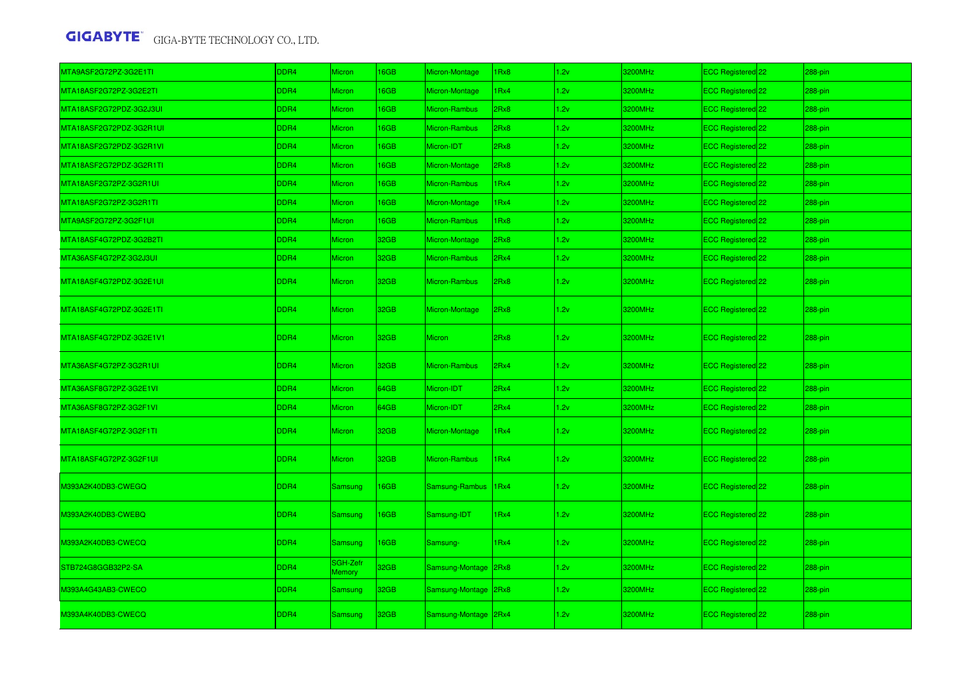| MTA9ASF2G72PZ-3G2E1TI   | DDR4             | Micron             | <b>I6GB</b> | Micron-Montage       | Rx8  | 1.2v | 3200MHz | ECC Registered 22              | 288-pin |
|-------------------------|------------------|--------------------|-------------|----------------------|------|------|---------|--------------------------------|---------|
| MTA18ASF2G72PZ-3G2E2TI  | DDR4             | Micron             | 16GB        | Micron-Montage       | Rx4  | 1.2v | 3200MHz | ECC Registered 22              | 288-pin |
| MTA18ASF2G72PDZ-3G2J3UI | DDR4             | Micron             | <b>I6GB</b> | Micron-Rambus        | BxR! | 1.2v | 3200MHz | ECC Registered 22              | 288-pin |
| MTA18ASF2G72PDZ-3G2R1UI | DDR4             | Micron             | <b>I6GB</b> | <b>Micron-Rambus</b> | Rx8  | 1.2v | 3200MHz | ECC Registered 22              | 288-pin |
| MTA18ASF2G72PDZ-3G2R1VI | DDR4             | <b>Micron</b>      | <b>I6GB</b> | Micron-IDT           | 2Rx8 | 1.2v | 3200MHz | ECC Registered 22              | 288-pin |
| MTA18ASF2G72PDZ-3G2R1TI | DDR4             | Micron             | <b>I6GB</b> | Micron-Montage       | 2Rx8 | 1.2v | 3200MHz | ECC Registered 22              | 288-pin |
| MTA18ASF2G72PZ-3G2R1UI  | DDR4             | <b>Micron</b>      | <b>I6GB</b> | Micron-Rambus        | Rx4  | 1.2v | 3200MHz | ECC Registered 22              | 288-pin |
| MTA18ASF2G72PZ-3G2R1TI  | DDR4             | Micron             | <b>I6GB</b> | Micron-Montage       | IRx4 | 1.2v | 3200MHz | ECC Registered 22              | 288-pin |
| MTA9ASF2G72PZ-3G2F1UI   | DDR4             | Micron             | 16GB        | Micron-Rambus        | IRx8 | 1.2v | 3200MHz | ECC Registered 22              | 288-pin |
| MTA18ASF4G72PDZ-3G2B2TI | DDR4             | Micron             | 32GB        | Micron-Montage       | 2Rx8 | 1.2v | 3200MHz | ECC Registered 22              | 288-pin |
| MTA36ASF4G72PZ-3G2J3UI  | DDR4             | Micron             | 32GB        | Micron-Rambus        | 2Rx4 | 1.2v | 3200MHz | ECC Registered 22              | 288-pin |
| MTA18ASF4G72PDZ-3G2E1UI | DDR4             | <b>Micron</b>      | 32GB        | Micron-Rambus        | 2Rx8 | 1.2v | 3200MHz | ECC Registered 22              | 288-pin |
| MTA18ASF4G72PDZ-3G2E1TI | DDR4             | Micron             | 32GB        | Micron-Montage       | 2Rx8 | 1.2v | 3200MHz | ECC Registered 22              | 288-pin |
| MTA18ASF4G72PDZ-3G2E1V1 | DDR4             | Micron             | 32GB        | <b>Micron</b>        | 2Rx8 | 1.2v | 3200MHz | ECC Registered 22              | 288-pin |
| MTA36ASF4G72PZ-3G2R1UI  | DDR4             | <b>Micron</b>      | 32GB        | Micron-Rambus        | 2Rx4 | 1.2v | 3200MHz | ECC Registered <sup>22</sup>   | 288-pin |
| MTA36ASF8G72PZ-3G2E1VI  | DDR4             | Micron             | 64GB        | Micron-IDT           | 2Rx4 | 1.2v | 3200MHz | ECC Registered 22              | 288-pin |
| MTA36ASF8G72PZ-3G2F1VI  | DDR4             | <b>Micron</b>      | 64GB        | Micron-IDT           | 2Rx4 | 1.2v | 3200MHz | ECC Registered 22              | 288-pin |
| MTA18ASF4G72PZ-3G2F1TI  | DDR4             | <b>Micron</b>      | 32GB        | Micron-Montage       | 1Rx4 | 1.2v | 3200MHz | ECC Registered 22              | 288-pin |
| MTA18ASF4G72PZ-3G2F1UI  | DDR4             | Micron             | 32GB        | Micron-Rambus        | Rx4  | 1.2v | 3200MHz | ECC Registered 22              | 288-pin |
| M393A2K40DB3-CWEGQ      | DDR4             | <b>Samsung</b>     | <b>I6GB</b> | Samsung-Rambus       | 1Rx4 | 1.2v | 3200MHz | ECC Registered <sup>1</sup> 22 | 288-pin |
| M393A2K40DB3-CWEBQ      | DDR4             | <b>Samsung</b>     | <b>I6GB</b> | Samsung-IDT          | 1Rx4 | 1.2v | 3200MHz | ECC Registered 22              | 288-pin |
| M393A2K40DB3-CWECQ      | DDR4             | <b>Samsung</b>     | 16GB        | Samsung-             | 1Rx4 | 1.2v | 3200MHz | ECC Registered 22              | 288-pin |
| STB724G8GGB32P2-SA      | DDR <sub>4</sub> | SGH-Zefr<br>Memory | 32GB        | Samsung-Montage      | 2Rx8 | 1.2v | 3200MHz | ECC Registered 22              | 288-pin |
| M393A4G43AB3-CWECO      | DDR <sub>4</sub> | Samsung            | 32GB        | Samsung-Montage      | 2Rx8 | 1.2v | 3200MHz | ECC Registered 22              | 288-pin |
| M393A4K40DB3-CWECQ      | DDR4             | Samsung            | 32GB        | Samsung-Montage 2Rx4 |      | 1.2v | 3200MHz | ECC Registered 22              | 288-pin |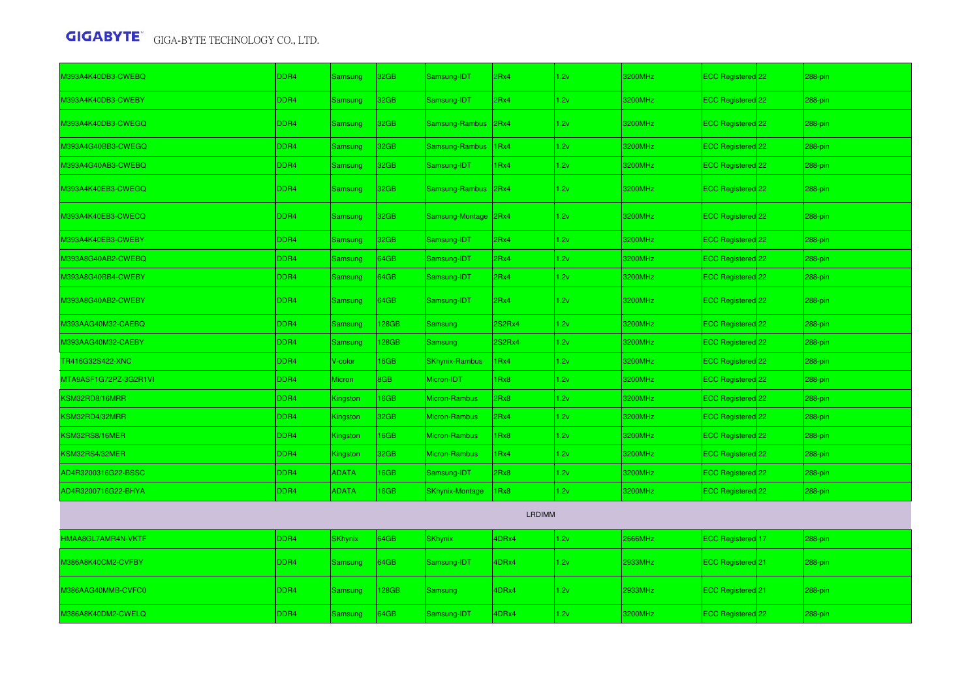| M393A4K40DB3-CWEBQ    | DDR4             | Samsung        | 32GB             | Samsung-IDT            | 2Rx4             | 1.2v | 3200MHz | ECC Registered 22              |  | 288-pin |  |  |
|-----------------------|------------------|----------------|------------------|------------------------|------------------|------|---------|--------------------------------|--|---------|--|--|
| M393A4K40DB3-CWEBY    | DDR <sub>4</sub> | Samsung        | 32GB             | Samsung-IDT            | 2Rx4             | 1.2v | 3200MHz | ECC Registered 22              |  | 288-pin |  |  |
| M393A4K40DB3-CWEGQ    | DDR4             | Samsung        | 32 <sub>GB</sub> | Samsung-Rambus 2Rx4    |                  | 1.2v | 3200MHz | ECC Registered 22              |  | 288-pin |  |  |
| M393A4G40BB3-CWEGQ    | DDR4             | Samsung        | 32GB             | Samsung-Rambus 1Rx4    |                  | 1.2v | 3200MHz | ECC Registered 22              |  | 288-pin |  |  |
| M393A4G40AB3-CWEBQ    | DDR4             | Samsung        | 32GB             | Samsung-IDT            | 1Rx4             | 1.2v | 3200MHz | ECC Registered 22              |  | 288-pin |  |  |
| M393A4K40EB3-CWEGQ    | DDR4             | Samsung        | 32 <sub>GB</sub> | Samsung-Rambus 2Rx4    |                  | 1.2v | 3200MHz | ECC Registered 22              |  | 288-pin |  |  |
| M393A4K40EB3-CWECQ    | DDR4             | Samsung        | 32 <sub>GB</sub> | Samsung-Montage 2Rx4   |                  | 1.2v | 3200MHz | ECC Registered 22              |  | 288-pin |  |  |
| M393A4K40EB3-CWEBY    | DDR4             | Samsung        | 32 <sub>GB</sub> | Samsung-IDT            | 2Rx4             | 1.2v | 3200MHz | ECC Registered 22              |  | 288-pin |  |  |
| M393A8G40AB2-CWEBQ    | DDR4             | <b>Samsung</b> | 64GB             | Samsung-IDT            | 2Rx4             | 1.2v | 3200MHz | ECC Registered 22              |  | 288-pin |  |  |
| M393A8G40BB4-CWEBY    | DDR4             | <b>Samsung</b> | 64GB             | Samsung-IDT            | 2Rx4             | 1.2v | 3200MHz | ECC Registered <sup>1</sup> 22 |  | 288-pin |  |  |
| M393A8G40AB2-CWEBY    | DDR4             | Samsung        | 64GB             | Samsung-IDT            | 2Rx4             | 1.2v | 3200MHz | ECC Registered 22              |  | 288-pin |  |  |
| M393AAG40M32-CAEBQ    | DDR <sub>4</sub> | Samsung        | 128GB            | Samsung                | 2S2Rx4           | 1.2v | 3200MHz | ECC Registered 22              |  | 288-pin |  |  |
| M393AAG40M32-CAEBY    | DDR4             | Samsung        | 128GB            | Samsung                | 2S2Rx4           | 1.2v | 3200MHz | ECC Registered 22              |  | 288-pin |  |  |
| TR416G32S422-XNC      | DDR4             | V-color        | 16GB             | <b>SKhynix-Rambus</b>  | 1Rx4             | 1.2v | 3200MHz | ECC Registered 22              |  | 288-pin |  |  |
| MTA9ASF1G72PZ-3G2R1VI | DDR4             | Micron         | 8GB              | Micron-IDT             | 1Rx8             | 1.2v | 3200MHz | ECC Registered 22              |  | 288-pin |  |  |
| KSM32RD8/16MRR        | DDR4             | Kingston       | 16GB             | <b>Micron-Rambus</b>   | 2Rx8             | 1.2v | 3200MHz | ECC Registered 22              |  | 288-pin |  |  |
| KSM32RD4/32MRR        | DDR4             | Kingston       | 32GB             | <b>Micron-Rambus</b>   | 2Rx4             | 1.2v | 3200MHz | ECC Registered 22              |  | 288-pin |  |  |
| KSM32RS8/16MER        | DDR4             | Kingston       | 16GB             | <b>Micron-Rambus</b>   | 1Rx8             | 1.2v | 3200MHz | ECC Registered 22              |  | 288-pin |  |  |
| KSM32RS4/32MER        | DDR4             | Kingston       | 32GB             | <b>Micron-Rambus</b>   | 1 <sub>Rx4</sub> | 1.2v | 3200MHz | ECC Registered <sup>22</sup>   |  | 288-pin |  |  |
| AD4R3200316G22-BSSC   | DDR4             | <b>ADATA</b>   | 16GB             | Samsung-IDT            | 2Rx8             | 1.2v | 3200MHz | ECC Registered 22              |  | 288-pin |  |  |
| AD4R3200716G22-BHYA   | DDR4             | <b>ADATA</b>   | 16GB             | <b>SKhynix-Montage</b> | 1Rx8             | 1.2v | 3200MHz | ECC Registered 22              |  | 288-pin |  |  |
| <b>LRDIMM</b>         |                  |                |                  |                        |                  |      |         |                                |  |         |  |  |
| HMAA8GL7AMR4N-VKTF    | DDR4             | <b>SKhynix</b> | 64GB             | <b>SKhynix</b>         | 4DRx4            | 1.2v | 2666MHz | ECC Registered 17              |  | 288-pin |  |  |
| M386A8K40CM2-CVFBY    | DDR4             | Samsung        | 64GB             | Samsung-IDT            | 4DRx4            | 1.2v | 2933MHz | ECC Registered <sup>1</sup> 21 |  | 288-pin |  |  |
| M386AAG40MMB-CVFC0    | DDR4             | Samsung        | 128GB            | <b>Samsung</b>         | 4DRx4            | 1.2v | 2933MHz | ECC Registered 21              |  | 288-pin |  |  |
| M386A8K40DM2-CWELQ    | DDR4             | Samsung        | 64GB             | Samsung-IDT            | 4DRx4            | 1.2v | 3200MHz | ECC Registered 22              |  | 288-pin |  |  |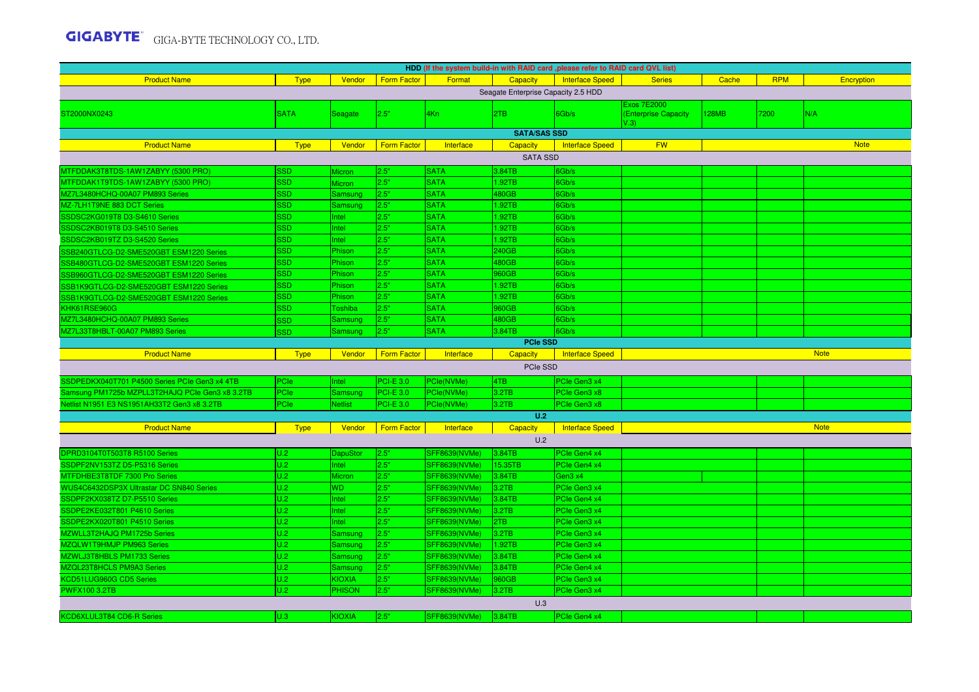| HDD (If the system build-in with RAID card , please refer to RAID card QVL list) |             |                 |                    |                                              |                                     |                                     |                                     |       |            |             |  |
|----------------------------------------------------------------------------------|-------------|-----------------|--------------------|----------------------------------------------|-------------------------------------|-------------------------------------|-------------------------------------|-------|------------|-------------|--|
| <b>Product Name</b>                                                              | <b>Type</b> | Vendor          | <b>Form Factor</b> | Format                                       | <b>Capacity</b>                     | <b>Interface Speed</b>              | <b>Series</b>                       | Cache | <b>RPM</b> | Encryption  |  |
|                                                                                  |             |                 |                    |                                              | Seagate Enterprise Capacity 2.5 HDD |                                     |                                     |       |            |             |  |
|                                                                                  |             |                 |                    |                                              |                                     |                                     | <b>Exos 7E2000</b>                  |       |            |             |  |
| ST2000NX0243                                                                     | <b>SATA</b> | <b>Seagate</b>  | 2.5"               | 4Kn                                          | 2TB                                 | 6Gb/s                               | (Enterprise Capacity<br>$\sqrt{.3}$ | 128MB | 7200       | N/A         |  |
|                                                                                  |             |                 |                    |                                              | <b>SATA/SAS SSD</b>                 |                                     |                                     |       |            |             |  |
| <b>Product Name</b>                                                              | <b>Type</b> | Vendor          | <b>Form Factor</b> | Interface                                    | <b>Capacity</b>                     | <b>Interface Speed</b>              | <b>FW</b>                           |       |            | <b>Note</b> |  |
| <b>SATA SSD</b>                                                                  |             |                 |                    |                                              |                                     |                                     |                                     |       |            |             |  |
| MTFDDAK3T8TDS-1AW1ZABYY (5300 PRO)                                               | SSD         | <b>Micron</b>   | 2.5"               | <b>SATA</b>                                  | 3.84TB                              | 6Gb/s                               |                                     |       |            |             |  |
| MTFDDAK1T9TDS-1AW1ZABYY (5300 PRO)                                               | <b>SSD</b>  | <b>Micron</b>   | 2.5"               | <b>SATA</b>                                  | 1.92TB                              | Gb/s                                |                                     |       |            |             |  |
| MZ7L3480HCHQ-00A07 PM893 Series                                                  | <b>SSD</b>  | Samsung         | 2.5"               | <b>SATA</b>                                  | 480GB                               | 6Gb/s                               |                                     |       |            |             |  |
| MZ-7LH1T9NE 883 DCT Series                                                       | <b>SSD</b>  | Samsung         | 2.5"               | <b>SATA</b>                                  | 1.92TB                              | Gb/s                                |                                     |       |            |             |  |
| SSDSC2KG019T8 D3-S4610 Series                                                    | <b>SSD</b>  | Intel           | 2.5"               | <b>SATA</b>                                  | 1.92TB                              | 6Gb/s                               |                                     |       |            |             |  |
| SSDSC2KB019T8 D3-S4510 Series                                                    | <b>SSD</b>  | Intel           | 2.5"               | <b>SATA</b>                                  | 1.92TB                              | 6Gb/s                               |                                     |       |            |             |  |
| SSDSC2KB019TZ D3-S4520 Series                                                    | SSD         | Intel           | 2.5"               | <b>SATA</b>                                  | 1.92TB                              | 6Gb/s                               |                                     |       |            |             |  |
| SB240GTLCG-D2-SME520GBT ESM1220 Series                                           | SSD         | Phison          | 2.5"               | <b>SATA</b>                                  | 240GB                               | 6Gb/s                               |                                     |       |            |             |  |
| SSB480GTLCG-D2-SME520GBT ESM1220 Series                                          | <b>SSD</b>  | Phison          | 2.5"               | <b>SATA</b>                                  | 480GB                               | 6Gb/s                               |                                     |       |            |             |  |
| SSB960GTLCG-D2-SME520GBT ESM1220 Series                                          | SSD         | Phison          | 2.5"               | <b>SATA</b>                                  | 960GB                               | Gb/s                                |                                     |       |            |             |  |
| SB1K9GTLCG-D2-SME520GBT ESM1220 Series                                           | <b>SSD</b>  | Phison          | 2.5"               | <b>SATA</b>                                  | 1.92TB                              | Gb/s                                |                                     |       |            |             |  |
| SB1K9GTLCG-D2-SME520GBT ESM1220 Series                                           | SSD         | Phison          | 2.5"               | <b>SATA</b>                                  | 1.92TB                              | Gb/s                                |                                     |       |            |             |  |
| KHK61RSE960G                                                                     | SSD         | Toshiba         | 2.5"               | <b>SATA</b>                                  | 960GB                               | Gb/s                                |                                     |       |            |             |  |
| AZ7L3480HCHQ-00A07 PM893 Series                                                  | SSD         | Samsung         | 2.5"               | <b>SATA</b>                                  | 480GB                               | Gb/s                                |                                     |       |            |             |  |
| MZ7L33T8HBLT-00A07 PM893 Series                                                  | <b>SSD</b>  | Samsung         | 2.5"               | <b>SATA</b>                                  | 3.84TB                              | Gb/s                                |                                     |       |            |             |  |
|                                                                                  |             |                 |                    |                                              |                                     |                                     |                                     |       |            |             |  |
|                                                                                  |             |                 |                    |                                              | <b>PCIe SSD</b>                     |                                     |                                     |       |            |             |  |
| <b>Product Name</b>                                                              | <b>Type</b> | Vendor          | <b>Form Factor</b> | Interface                                    | Capacity                            | <b>Interface Speed</b>              |                                     |       |            | <b>Note</b> |  |
|                                                                                  |             |                 |                    |                                              | PCIe SSD                            |                                     |                                     |       |            |             |  |
| SSDPEDKX040T701 P4500 Series PCIe Gen3 x4 4TB                                    | PCIe        | Intel           | <b>PCI-E 3.0</b>   | PCle(NVMe)                                   | 4TB                                 | PCIe Gen3 x4                        |                                     |       |            |             |  |
| Samsung PM1725b MZPLL3T2HAJQ PCIe Gen3 x8 3.2TB                                  | PCIe        | Samsung         | $PCI-E$ 3.0        | PCle(NVMe)                                   | 3.2TB                               | PCIe Gen3 x8                        |                                     |       |            |             |  |
| Netlist N1951 E3 NS1951AH33T2 Gen3 x8 3.2TB                                      | PCIe        | <b>Netlist</b>  | <b>PCI-E 3.0</b>   | PCle(NVMe)                                   | 3.2TB                               | PCIe Gen3 x8                        |                                     |       |            |             |  |
|                                                                                  |             |                 |                    |                                              | U.2                                 |                                     |                                     |       |            |             |  |
| <b>Product Name</b>                                                              | <b>Type</b> | Vendor          | <b>Form Factor</b> | Interface                                    | <b>Capacity</b>                     | Interface Speed                     |                                     |       |            | <b>Note</b> |  |
|                                                                                  |             |                 |                    |                                              | U.2                                 |                                     |                                     |       |            |             |  |
| DPRD3104T0T503T8 R5100 Series                                                    | U.2         | <b>DapuStor</b> | 2.5"               | <b>SFF8639(NVMe)</b>                         | 3.84TB                              | PCIe Gen4 x4                        |                                     |       |            |             |  |
| SSDPF2NV153TZ D5-P5316 Series                                                    | U.2         | Intel           | 2.5"               | SFF8639(NVMe)                                | 15.35TB                             | PCIe Gen4 x4                        |                                     |       |            |             |  |
| MTFDHBE3T8TDF 7300 Pro Series                                                    | U.2         | <b>Micron</b>   | 2.5"               | <b>SFF8639(NVMe)</b>                         | 3.84TB                              | Gen3 x4                             |                                     |       |            |             |  |
| WUS4C6432DSP3X Ultrastar DC SN840 Series                                         | U.2         | WD.             | 2.5"               | SFF8639(NVMe)                                | 3.2TB                               | PCIe Gen3 x4                        |                                     |       |            |             |  |
| SSDPF2KX038TZ D7-P5510 Series                                                    | U.2         | Intel           | 2.5"               | <b>SFF8639(NVMe)</b>                         | 3.84TB                              | PCIe Gen4 x4                        |                                     |       |            |             |  |
| SSDPE2KE032T801 P4610 Series<br>SSDPE2KX020T801 P4510 Series                     | U.2<br>U.2  | Intel<br>Intel  | 2.5"<br>2.5"       | <b>SFF8639(NVMe)</b><br><b>SFF8639(NVMe)</b> | 3.2TB<br>2TB                        | PCIe Gen3 x4<br><b>PCIe Gen3 x4</b> |                                     |       |            |             |  |
| MZWLL3T2HAJQ PM1725b Series                                                      | U.2         | Samsung         | 2.5"               | SFF8639(NVMe)                                | 3.2TB                               |                                     |                                     |       |            |             |  |
| MZQLW1T9HMJP PM963 Series                                                        | U.2         | Samsung         | 2.5"               | SFF8639(NVMe)                                | 1.92TB                              | PCIe Gen3 x4<br>PCIe Gen3 x4        |                                     |       |            |             |  |
| MZWLJ3T8HBLS PM1733 Series                                                       | U.2         | Samsung         | 2.5"               | SFF8639(NVMe)                                | 3.84TB                              | PCIe Gen4 x4                        |                                     |       |            |             |  |
| MZQL23T8HCLS PM9A3 Series                                                        | U.2         | Samsung         | 2.5"               | SFF8639(NVMe)                                | 3.84TB                              | PCIe Gen4 x4                        |                                     |       |            |             |  |
| KCD51LUG960G CD5 Series                                                          | U.2         | <b>KIOXIA</b>   | 2.5"               | <b>SFF8639(NVMe)</b>                         | 960GB                               | PCIe Gen3 x4                        |                                     |       |            |             |  |
| <b>PWFX100 3.2TB</b>                                                             | U.2         | <b>PHISON</b>   | 2.5"               | SFF8639(NVMe)                                | 3.2TB                               | PCIe Gen3 x4                        |                                     |       |            |             |  |
|                                                                                  |             |                 |                    |                                              | U.3                                 |                                     |                                     |       |            |             |  |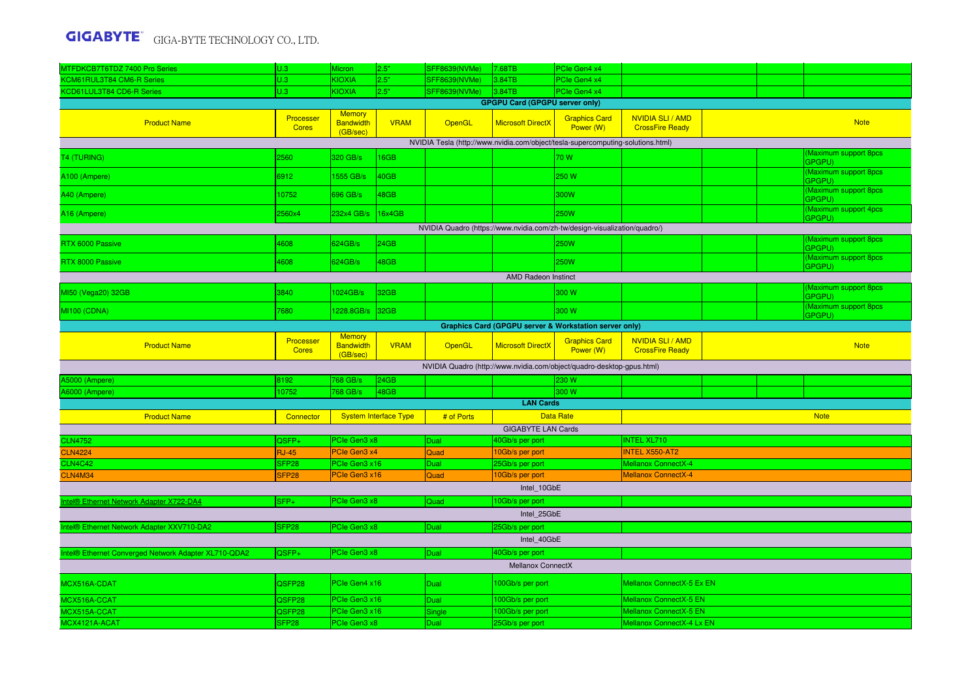| MTFDKCB7T6TDZ 7400 Pro Series                                             | U.3                                    | Micron                                 | 2.5"                         | <b>SFF8639(NVMe)</b>                                                            | 7.68TB                                | PCle Gen4 x4                      |                                                     |             |  |                                       |  |  |
|---------------------------------------------------------------------------|----------------------------------------|----------------------------------------|------------------------------|---------------------------------------------------------------------------------|---------------------------------------|-----------------------------------|-----------------------------------------------------|-------------|--|---------------------------------------|--|--|
| KCM61RUL3T84 CM6-R Series                                                 | U.3                                    | <b>KIOXIA</b>                          | 2.5"                         | SFF8639(NVMe)                                                                   | 3.84TB                                | PCIe Gen4 x4                      |                                                     |             |  |                                       |  |  |
| <b>KCD61LUL3T84 CD6-R Series</b>                                          | J.3                                    | KIOXIA                                 | 2.5"                         | SFF8639(NVMe)                                                                   | 3.84TB                                | PCle Gen4 x4                      |                                                     |             |  |                                       |  |  |
|                                                                           |                                        |                                        |                              |                                                                                 | <b>GPGPU Card (GPGPU server only)</b> |                                   |                                                     |             |  |                                       |  |  |
| <b>Product Name</b>                                                       | Processer<br><b>Cores</b>              | Memory<br>Bandwidth<br>(GB/sec)        | <b>VRAM</b>                  | OpenGL                                                                          | <b>Microsoft DirectX</b>              | <b>Graphics Card</b><br>Power (W) | <b>NVIDIA SLI/AMD</b><br><b>CrossFire Ready</b>     | <b>Note</b> |  |                                       |  |  |
|                                                                           |                                        |                                        |                              | NVIDIA Tesla (http://www.nvidia.com/object/tesla-supercomputing-solutions.html) |                                       |                                   |                                                     |             |  |                                       |  |  |
| <b>T4 (TURING)</b>                                                        | 560                                    | 320 GB/s                               | 16GB                         |                                                                                 |                                       | 70 W                              |                                                     |             |  | <b>Maximum support 8pcs</b><br>GPGPU) |  |  |
| A100 (Ampere)                                                             | 6912                                   | 1555 GB/s                              | 40GB                         |                                                                                 |                                       | 250 W                             |                                                     |             |  | Maximum support 8pcs<br>GPGPU)        |  |  |
| A40 (Ampere)                                                              | 10752                                  | 696 GB/s                               | 48GB                         |                                                                                 |                                       | 300W                              |                                                     |             |  | Maximum support 8pcs<br>GPGPU)        |  |  |
| A16 (Ampere)                                                              | 2560x4                                 | 232x4 GB/s                             | 16x4GB                       |                                                                                 |                                       | 250W                              |                                                     |             |  | <b>Maximum support 4pcs</b><br>GPGPU) |  |  |
| NVIDIA Quadro (https://www.nvidia.com/zh-tw/design-visualization/quadro/) |                                        |                                        |                              |                                                                                 |                                       |                                   |                                                     |             |  |                                       |  |  |
| RTX 6000 Passive                                                          | 808                                    | 624GB/s                                | 24GB                         |                                                                                 |                                       | 250W                              |                                                     |             |  | <b>Maximum support 8pcs</b><br>GPGPU) |  |  |
| RTX 8000 Passive                                                          | 4608                                   | 624GB/s                                | 48GB                         |                                                                                 |                                       | <b>250W</b>                       |                                                     |             |  | Maximum support 8pcs<br>GPGPU)        |  |  |
| <b>AMD Radeon Instinct</b>                                                |                                        |                                        |                              |                                                                                 |                                       |                                   |                                                     |             |  |                                       |  |  |
| MI50 (Vega20) 32GB                                                        | 3840                                   | 1024GB/s                               | 32GB                         |                                                                                 |                                       | 300 W                             |                                                     |             |  | <b>Maximum support 8pcs</b><br>GPGPU) |  |  |
| MI100 (CDNA)                                                              | 680                                    | 1228.8GB/s                             | 32 <sub>GB</sub>             |                                                                                 |                                       | 300 W                             |                                                     |             |  | (Maximum support 8pcs<br>GPGPU)       |  |  |
| <b>Graphics Card (GPGPU server &amp; Workstation server only)</b>         |                                        |                                        |                              |                                                                                 |                                       |                                   |                                                     |             |  |                                       |  |  |
| <b>Product Name</b>                                                       | Processer<br><b>Cores</b>              | <b>Memory</b><br>Bandwidth<br>(GB/sec) | <b>VRAM</b>                  | OpenGL                                                                          | <b>Microsoft DirectX</b>              | <b>Graphics Card</b><br>Power (W) | NVIDIA SLI / AMD<br><b>CrossFire Ready</b>          |             |  | <b>Note</b>                           |  |  |
|                                                                           |                                        |                                        |                              | NVIDIA Quadro (http://www.nvidia.com/object/quadro-desktop-gpus.html)           |                                       |                                   |                                                     |             |  |                                       |  |  |
| <b>15000 (Ampere)</b>                                                     | 3192                                   | 768 GB/s                               | 24GB                         |                                                                                 |                                       | 230 W                             |                                                     |             |  |                                       |  |  |
| A6000 (Ampere)                                                            | 0752                                   | 768 GB/s                               | 48GB                         |                                                                                 |                                       | 300 W                             |                                                     |             |  |                                       |  |  |
|                                                                           |                                        |                                        |                              |                                                                                 | <b>LAN Cards</b>                      |                                   |                                                     |             |  |                                       |  |  |
| <b>Product Name</b>                                                       | Connector                              |                                        | <b>System Interface Type</b> | # of Ports                                                                      |                                       | <b>Data Rate</b>                  |                                                     |             |  | <b>Note</b>                           |  |  |
|                                                                           |                                        |                                        |                              |                                                                                 | <b>GIGABYTE LAN Cards</b>             |                                   |                                                     |             |  |                                       |  |  |
| <b>CLN4752</b>                                                            | $2SFP+$                                | PCIe Gen3 x8                           |                              | Dual                                                                            | 40Gb/s per port                       |                                   | <b>INTEL XL710</b>                                  |             |  |                                       |  |  |
| <b>CLN4224</b>                                                            | <b>RJ-45</b>                           | PCIe Gen3 x4<br>PCIe Gen3 x16          |                              | Quad                                                                            | 10Gb/s per port                       |                                   | <b>INTEL X550-AT2</b><br><b>Mellanox ConnectX-4</b> |             |  |                                       |  |  |
| <b>CLN4C42</b><br><b>CLN4M34</b>                                          | SFP <sub>28</sub><br>SFP <sub>28</sub> | PCle Gen3 x16                          |                              | Dual<br>Quad                                                                    | 25Gb/s per port<br>0Gb/s per port     |                                   | <b>Mellanox ConnectX-4</b>                          |             |  |                                       |  |  |
|                                                                           |                                        |                                        |                              |                                                                                 | Intel 10GbE                           |                                   |                                                     |             |  |                                       |  |  |
| <b>ntel® Ethernet Network Adapter X722-DA4</b>                            | $SFP+$                                 | PCIe Gen3 x8                           |                              | Quad                                                                            | 10Gb/s per port                       |                                   |                                                     |             |  |                                       |  |  |
|                                                                           |                                        |                                        |                              |                                                                                 | Intel 25GbE                           |                                   |                                                     |             |  |                                       |  |  |
| Intel® Ethernet Network Adapter XXV710-DA2                                | SFP <sub>28</sub>                      | PCIe Gen3 x8                           |                              | Dual                                                                            | 25Gb/s per port                       |                                   |                                                     |             |  |                                       |  |  |
|                                                                           |                                        |                                        |                              |                                                                                 | Intel 40GbE                           |                                   |                                                     |             |  |                                       |  |  |
| Intel® Ethernet Converged Network Adapter XL710-QDA2                      | QSFP+                                  | PCIe Gen3 x8                           |                              | Dual                                                                            | 40Gb/s per port                       |                                   |                                                     |             |  |                                       |  |  |
|                                                                           |                                        |                                        |                              |                                                                                 | Mellanox ConnectX                     |                                   |                                                     |             |  |                                       |  |  |
| MCX516A-CDAT                                                              | QSFP28                                 | PCIe Gen4 x16                          |                              | Dual                                                                            | 100Gb/s per port                      |                                   | Mellanox ConnectX-5 Ex EN                           |             |  |                                       |  |  |
| MCX516A-CCAT                                                              | QSFP28                                 | PCIe Gen3 x16                          |                              | Dual                                                                            | 100Gb/s per port                      |                                   | <b>Mellanox ConnectX-5 EN</b>                       |             |  |                                       |  |  |
| MCX515A-CCAT                                                              | QSFP28                                 | PCIe Gen3 x16                          |                              | Single                                                                          | 100Gb/s per port                      |                                   | <b>Mellanox ConnectX-5 EN</b>                       |             |  |                                       |  |  |
| MCX4121A-ACAT                                                             | SFP <sub>28</sub>                      | PCIe Gen3 x8                           |                              | Dual                                                                            | 25Gb/s per port                       |                                   | Mellanox ConnectX-4 Lx EN                           |             |  |                                       |  |  |